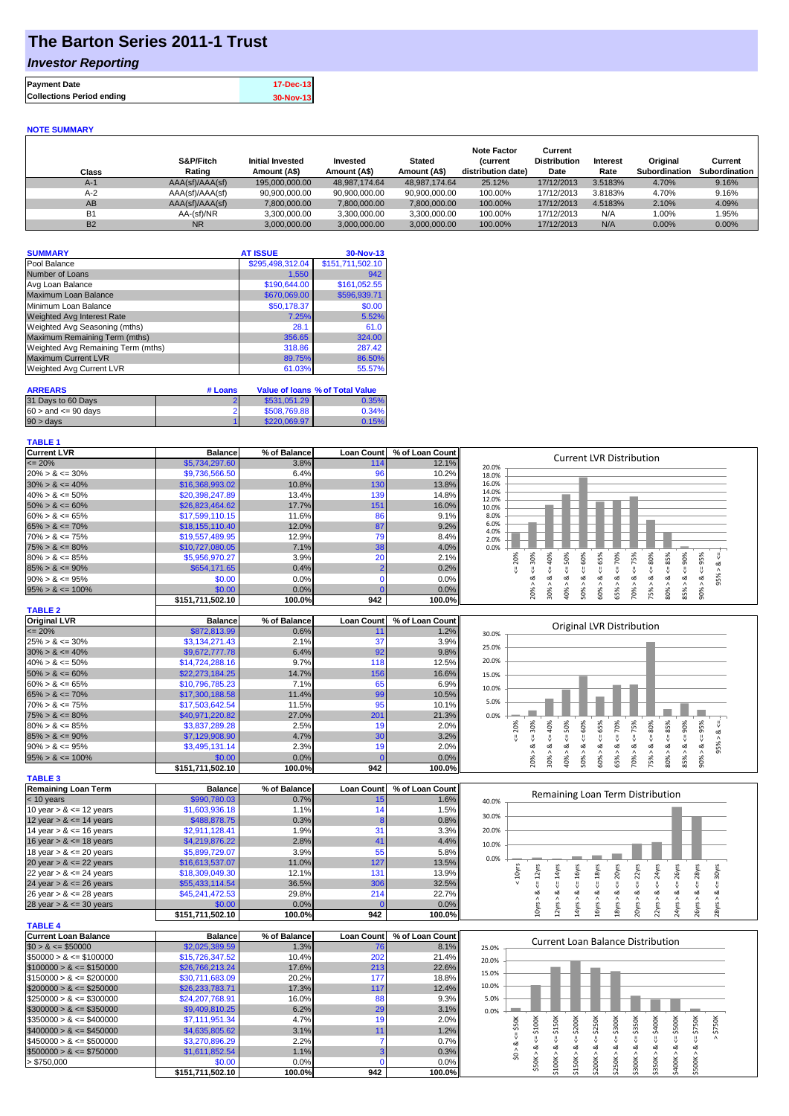## **The Barton Series 2011-1 Trust**

### *Investor Reporting*

| <b>Payment Date</b>              | 17-Dec-13 |
|----------------------------------|-----------|
| <b>Collections Period ending</b> | 30-Nov-13 |
|                                  |           |

#### **NOTE SUMMARY**

| Class     | S&P/Fitch<br>Rating | <b>Initial Invested</b><br>Amount (A\$) | Invested<br>Amount (A\$) | <b>Stated</b><br>Amount (A\$) | <b>Note Factor</b><br><b>Current</b><br>distribution date) | Current<br><b>Distribution</b><br>Date | <b>Interest</b><br>Rate | Original<br>Subordination | Current<br><b>Subordination</b> |
|-----------|---------------------|-----------------------------------------|--------------------------|-------------------------------|------------------------------------------------------------|----------------------------------------|-------------------------|---------------------------|---------------------------------|
| $A-1$     | AAA(sf)/AAA(sf)     | 195,000,000,00                          | 48.987.174.64            | 48.987.174.64                 | 25.12%                                                     | 17/12/2013                             | 3.5183%                 | 4.70%                     | 9.16%                           |
| $A-2$     | AAA(sf)/AAA(sf)     | 90,900,000.00                           | 90,900,000.00            | 90,900,000.00                 | 100.00%                                                    | 17/12/2013                             | 3.8183%                 | 4.70%                     | 9.16%                           |
| AB        | AAA(sf)/AAA(sf)     | 7,800,000.00                            | 7,800,000.00             | 7,800,000.00                  | 100.00%                                                    | 17/12/2013                             | 4.5183%                 | 2.10%                     | 4.09%                           |
| <b>B1</b> | AA-(sf)/NR          | 3.300.000.00                            | 3,300,000.00             | 3,300,000.00                  | 100.00%                                                    | 17/12/2013                             | N/A                     | 1.00%                     | 1.95%                           |
| <b>B2</b> | <b>NR</b>           | 3.000.000.00                            | 3,000,000.00             | 3,000,000.00                  | 100.00%                                                    | 17/12/2013                             | N/A                     | 0.00%                     | $0.00\%$                        |

| <b>SUMMARY</b>                     | <b>AT ISSUE</b>  | 30-Nov-13        |
|------------------------------------|------------------|------------------|
| Pool Balance                       | \$295,498,312.04 | \$151,711,502.10 |
| Number of Loans                    | 1,550            | 942              |
| Avg Loan Balance                   | \$190,644.00     | \$161,052.55     |
| Maximum Loan Balance               | \$670,069.00     | \$596,939.71     |
| Minimum Loan Balance               | \$50,178.37      | \$0.00           |
| <b>Weighted Avg Interest Rate</b>  | 7.25%            | 5.52%            |
| Weighted Avg Seasoning (mths)      | 28.1             | 61.0             |
| Maximum Remaining Term (mths)      | 356.65           | 324.00           |
| Weighted Avg Remaining Term (mths) | 318.86           | 287.42           |
| <b>Maximum Current LVR</b>         | 89.75%           | 86.50%           |
| <b>Weighted Avg Current LVR</b>    | 61.03%           | 55.57%           |

| <b>ARREARS</b>            | # Loans |              | Value of Ioans % of Total Value |
|---------------------------|---------|--------------|---------------------------------|
| 31 Days to 60 Days        |         | \$531.051.29 | 0.35%                           |
| $60 >$ and $\leq 90$ days |         | \$508,769.88 | 0.34%                           |
| $90 > \text{days}$        |         | \$220,069.97 | 0.15%                           |

#### **TABLE 1**

| <b>Current LVR</b>   | <b>Balance</b>   | % of Balance | <b>Loan Count</b> | % of Loan Count | <b>Current LVR Distribution</b>                            |
|----------------------|------------------|--------------|-------------------|-----------------|------------------------------------------------------------|
| $\leq$ 20%           | \$5,734,297.60   | 3.8%         | 114               | 12.1%           | 20.0%                                                      |
| $20\% > 8 \le 30\%$  | \$9,736,566.50   | 6.4%         | 96                | 10.2%           | 18.0%                                                      |
| $30\% > 8 \le 40\%$  | \$16,368,993.02  | 10.8%        | 130               | 13.8%           | 16.0%                                                      |
| $40\% > 8 \le 50\%$  | \$20,398,247.89  | 13.4%        | 139               | 14.8%           | 14.0%<br>12.0%                                             |
| $50\% > 8 \le 60\%$  | \$26,823,464,62  | 17.7%        | 151               | 16.0%           | 10.0%                                                      |
| $60\% > 8 \le 65\%$  | \$17,599,110.15  | 11.6%        | 86                | 9.1%            | 8.0%                                                       |
| $65\% > 8 \le 70\%$  | \$18,155,110.40  | 12.0%        | 87                | 9.2%            | 6.0%<br>4.0%                                               |
| $70\% > 8 \le 75\%$  | \$19,557,489.95  | 12.9%        | 79                | 8.4%            | 2.0%                                                       |
| $75\% > 8 \le 80\%$  | \$10,727,080.05  | 7.1%         | 38                | 4.0%            | 0.0%                                                       |
| $80\% > 8 \le 85\%$  | \$5,956,970.27   | 3.9%         | 20                | 2.1%            | ≫<br>20%<br>०ँ<br>Ĥ,<br>Š<br>Ř.<br>in<br>S<br>$\circ$<br>ന |
| $85\% > 8 \le 90\%$  | \$654,171.65     | 0.4%         |                   | 0.2%            |                                                            |
| $90\% > 8 \le 95\%$  | \$0.00           | 0.0%         |                   | 0.0%            | ಂಶ<br>∞<br>∞<br>Ř                                          |
| $95\% > 8 \le 100\%$ | \$0.00           | 0.0%         |                   | 0.0%            | 90%<br>50%<br>20%<br>40%<br>30%<br>60%<br>š<br>ŝ0°         |
|                      | \$151,711,502.10 | 100.0%       | 942               | 100.0%          | $\overline{5}$<br>$\bar{\infty}$<br>к                      |
| <b>TABLE 2</b>       |                  |              |                   |                 |                                                            |
| <b>Original LVR</b>  | <b>Balance</b>   | % of Balance | <b>Loan Count</b> | % of Loan Count | Original IVR Distribution                                  |
|                      |                  |              |                   |                 |                                                            |

| V''                  | Dalarico               | 70 YI DURINGI | LUUI VUUIL       | 70 VI LUGH VUUIN |       |   |    |         | Original LVR Distribution |    |   |  |  |
|----------------------|------------------------|---------------|------------------|------------------|-------|---|----|---------|---------------------------|----|---|--|--|
| $\leq$ 20%           | \$872,813.99           | 0.6%          |                  | 1.2%             | 30.0% |   |    |         |                           |    |   |  |  |
| $25\% > 8 \le 30\%$  | \$3.134.271.43         | 2.1%          | 37               | 3.9%             | 25.0% |   |    |         |                           |    |   |  |  |
| $30\% > 8 \le 40\%$  | \$9,672,777,78         | 6.4%          | 92               | 9.8%             |       |   |    |         |                           |    |   |  |  |
| $40\% > 8 \le 50\%$  | \$14,724,288.16        | 9.7%          | 118              | 12.5%            | 20.0% |   |    |         |                           |    |   |  |  |
| $50\% > 8 \le 60\%$  | \$22,273,184.25        | 14.7%         | 156              | 16.6%            | 15.0% |   |    |         |                           |    |   |  |  |
| $60\% > 8 \le 65\%$  | \$10,796,785.23        | 7.1%          | 65               | 6.9%             | 10.0% |   |    |         |                           |    |   |  |  |
| $65\% > 8 \le 70\%$  | \$17,300,188.58        | 11.4%         | 99               | 10.5%            |       |   |    |         |                           |    |   |  |  |
| $70\% > 8 \le 75\%$  | \$17,503,642.54        | 11.5%         | 95               | 10.1%            | 5.0%  |   |    |         |                           |    |   |  |  |
| $75\% > 8 \le 80\%$  | \$40,971,220.82        | 27.0%         | 201              | 21.3%            | 0.0%  |   |    |         |                           |    |   |  |  |
| $80\% > 8 \le 85\%$  | \$3,837,289.28         | 2.5%          | 19               | $2.0\%$          |       | Š | Š. | $\circ$ |                           | Š. | Ř |  |  |
| $85\% > 8 \le 90\%$  | \$7,129,908.90         | 4.7%          | 30 <sup>1</sup>  | 3.2%             |       |   |    |         |                           |    |   |  |  |
| $90\% > 8 \le 95\%$  | \$3,495,131.14         | 2.3%          | 19               | 2.0%             |       |   |    |         |                           |    |   |  |  |
| $95\% > 8 \le 100\%$ | \$0.00                 | $0.0\%$       |                  | 0.0%             |       |   |    |         |                           |    |   |  |  |
|                      | <b>CAEA 744 EOO 40</b> | 10000         | $0.42 \text{ m}$ | Ann na/          |       |   |    |         |                           |    |   |  |  |

|                            | \$151,711,502.10 | 100.0%       | 942               | 100.0%ll        |  |
|----------------------------|------------------|--------------|-------------------|-----------------|--|
| <b>TABLE 3</b>             |                  |              |                   |                 |  |
| <b>Remaining Loan Term</b> | <b>Balance</b>   | % of Balance | <b>Loan Count</b> | % of Loan Count |  |
| $<$ 10 years               | \$990,780.03     | 0.7%         | 15 <sub>15</sub>  | 1.6%            |  |
| 10 year $> 8 \le 12$ years | \$1,603,936.18   | 1.1%         | 14                | 1.5%            |  |
| 12 year $> 8 \le 14$ years | \$488,878.75     | 0.3%         | 8                 | 0.8%            |  |
| 14 year $> 8 \le 16$ years | \$2.911.128.41   | 1.9%         | 31                | 3.3%            |  |
| 16 year $> 8 \le 18$ years | \$4,219,876.22   | 2.8%         | 41                | 4.4%            |  |
| 18 year $> 8 \le 20$ years | \$5,899,729.07   | 3.9%         | 55                | 5.8%            |  |
| 20 year $> 8 \le 22$ years | \$16,613,537.07  | 11.0%        | 127               | 13.5%           |  |
| 22 year $> 8 \le 24$ years | \$18,309,049.30  | 12.1%        | 131               | 13.9%           |  |
| 24 year $> 8 \le 26$ years | \$55,433,114.54  | 36.5%        | 306               | 32.5%           |  |
| 26 year $> 8 \le 28$ years | \$45,241,472.53  | 29.8%        | 214               | 22.7%           |  |
| 28 year $> 8 \le 30$ years | \$0.00           | 0.0%         | 0                 | 0.0%            |  |
|                            | \$151.711.502.10 | 100.0%       | 942               | 100.0%l         |  |

|                            | <b>JIJI, III, JUZ.IU</b> | 100.070      | 94Z.              | 100.070         |          |
|----------------------------|--------------------------|--------------|-------------------|-----------------|----------|
| <b>TABLE 4</b>             |                          |              |                   |                 |          |
| Current Loan Balance       | <b>Balance</b>           | % of Balance | <b>Loan Count</b> | % of Loan Count |          |
| $$0 > 8 \leq $50000$       | \$2,025,389.59           | 1.3%         | 76                | 8.1%            | 25.0%    |
| $$50000 > 8 \leq $100000$  | \$15,726,347.52          | 10.4%        | 202               | 21.4%           | 20.0%    |
| $$100000 > 8 \leq $150000$ | \$26,766,213,24          | 17.6%        | 213               | 22.6%           |          |
| $$150000 > 8 \leq $200000$ | \$30.711.683.09          | 20.2%        | 177               | 18.8%           | 15.0%    |
| $$200000 > 8 \leq $250000$ | \$26,233,783.71          | 17.3%        | 117               | 12.4%           | 10.0%    |
| $$250000 > 8 \leq $300000$ | \$24.207.768.91          | 16.0%        | 88                | $9.3\%$         | 5.0%     |
| $$300000 > 8 \leq $350000$ | \$9,409,810.25           | 6.2%         | 29                | 3.1%            | $0.0%$ + |
| $$350000 > 8 \leq $400000$ | \$7,111,951.34           | 4.7%         | 19                | 2.0%            |          |
| $$400000 > 8 \leq $450000$ | \$4,635,805.62           | 3.1%         | 11                | 1.2%            |          |
| $$450000 > 8 \leq $500000$ | \$3,270,896.29           | 2.2%         |                   | 0.7%            |          |
| $$500000 > 8 \leq $750000$ | \$1,611,852.54           | 1.1%         |                   | 0.3%            |          |
| > \$750.000                | \$0.00                   | 0.0%         |                   | $0.0\%$         |          |
|                            | \$151.711.502.10         | 100.0%       | 942               | 100.0%          |          |